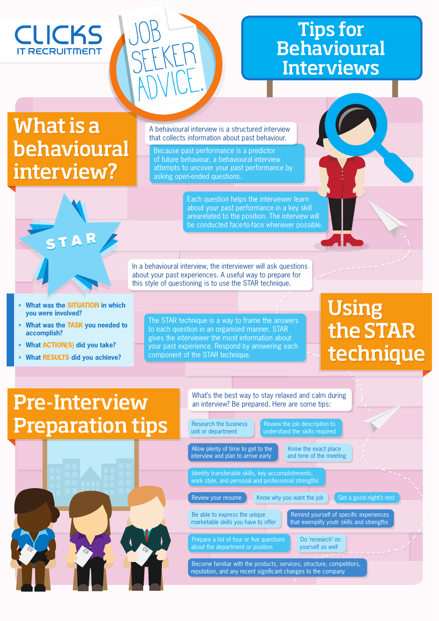## **CLICKS RECRUITMENT**

Job

SEEKER

ADVICE.

## Tips for **Behavioural** Interviews

# What is a behavioural interview?

A behavioural interview is a structured interview that collects information about past behaviour.

Because past performance is a predictor of future behaviour, a behavioural interview attempts to uncover your past performance by asking open-ended questions.

> Each question helps the interviewer learn about your past performance in a key skill arearelated to the position. The interview will be conducted face-to-face whenever possible.

In a behavioural interview, the interviewer will ask questions about your past experiences. A useful way to prepare for this style of questioning is to use the STAR technique.

 **What was the SITUATION in which you were involved?**

STAR

- **What was the TASK you needed to accomplish?**
- **What ACTION(S) did you take?**
- **What RESULTS did you achieve?**

The STAR technique is a way to frame the answers to each question in an organised manner. STAR gives the interviewer the most information about your past experience. Respond by answering each component of the STAR technique.

# Using the STAR technique

## Pre-Interview Preparation tips



#### What's the best way to stay relaxed and calm during an interview? Be prepared. Here are some tips: